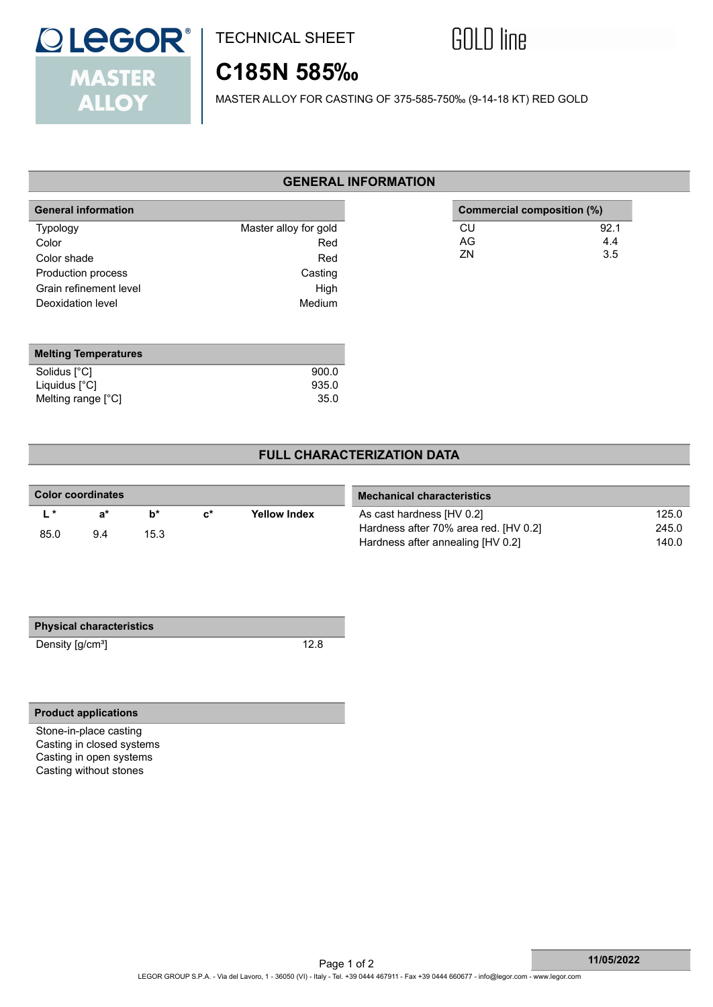

## TECHNICAL SHEET



 **Commercial composition (%)**

CU 92.1<br>AG 4.4  $AG$  4.4  $ZN$  3.5

# **C185N 585‰**

MASTER ALLOY FOR CASTING OF 375-585-750‰ (9-14-18 KT) RED GOLD

### **GENERAL INFORMATION**

| <b>General information</b> |                       |
|----------------------------|-----------------------|
| <b>Typology</b>            | Master alloy for gold |
| Color                      | Red                   |
| Color shade                | Red                   |
| Production process         | Casting               |
| Grain refinement level     | High                  |
| Deoxidation level          | Medium                |

| <b>Melting Temperatures</b> |       |
|-----------------------------|-------|
| Solidus [°C]                | 900.0 |
| Liquidus $[^{\circ}C]$      | 935.0 |
| Melting range $[^{\circ}C]$ | 35.0  |

### **FULL CHARACTERIZATION DATA**

| Color coordinates |      | <b>Mechanical characteristics</b> |                |                     |                                       |       |
|-------------------|------|-----------------------------------|----------------|---------------------|---------------------------------------|-------|
| $\mathbf{r}$      | ี ล* | h*                                | $\mathbf{c}^*$ | <b>Yellow Index</b> | As cast hardness [HV 0.2]             | 125.0 |
| 85.0              | 9.4  | 15.3                              |                |                     | Hardness after 70% area red. [HV 0.2] | 245.0 |
|                   |      |                                   |                |                     | Hardness after annealing [HV 0.2]     | 140.0 |

| <b>Physical characteristics</b> |
|---------------------------------|
|                                 |

Density [g/cm<sup>3</sup>] 12.8

### **Product applications**

Stone-in-place casting Casting in closed systems Casting in open systems Casting without stones